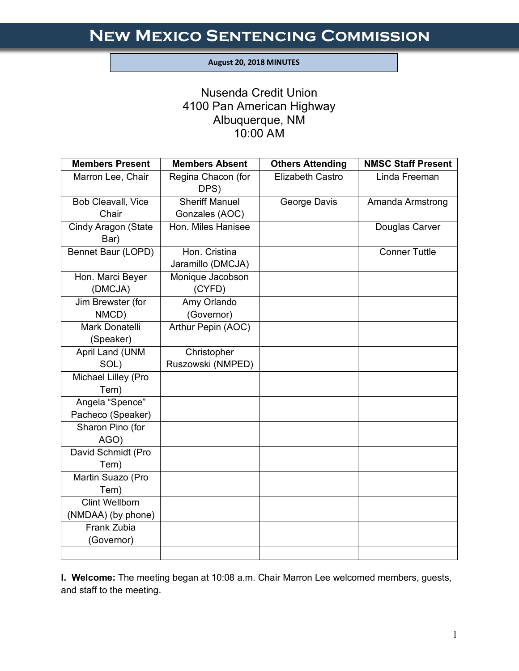#### **August 20, 2018 MINUTES**

I

# Nusenda Credit Union 4100 Pan American Highway Albuquerque, NM 10:00 AM

| <b>Members Present</b>      | <b>Members Absent</b>              | <b>Others Attending</b> | <b>NMSC Staff Present</b> |
|-----------------------------|------------------------------------|-------------------------|---------------------------|
| Marron Lee, Chair           | Regina Chacon (for<br>DPS)         | <b>Elizabeth Castro</b> | Linda Freeman             |
| Bob Cleavall, Vice          | <b>Sheriff Manuel</b>              | George Davis            | Amanda Armstrong          |
| Chair                       | Gonzales (AOC)                     |                         |                           |
| Cindy Aragon (State<br>Bar) | Hon. Miles Hanisee                 |                         | Douglas Carver            |
| Bennet Baur (LOPD)          | Hon. Cristina<br>Jaramillo (DMCJA) |                         | <b>Conner Tuttle</b>      |
| Hon. Marci Beyer<br>(DMCJA) | Monique Jacobson<br>(CYFD)         |                         |                           |
| Jim Brewster (for           | Amy Orlando                        |                         |                           |
| NMCD)                       | (Governor)                         |                         |                           |
| Mark Donatelli              | Arthur Pepin (AOC)                 |                         |                           |
| (Speaker)                   |                                    |                         |                           |
| April Land (UNM             | Christopher                        |                         |                           |
| SOL)                        | Ruszowski (NMPED)                  |                         |                           |
| Michael Lilley (Pro         |                                    |                         |                           |
| Tem)                        |                                    |                         |                           |
| Angela "Spence"             |                                    |                         |                           |
| Pacheco (Speaker)           |                                    |                         |                           |
| Sharon Pino (for            |                                    |                         |                           |
| AGO)                        |                                    |                         |                           |
| David Schmidt (Pro          |                                    |                         |                           |
| Tem)                        |                                    |                         |                           |
| Martin Suazo (Pro           |                                    |                         |                           |
| Tem)                        |                                    |                         |                           |
| <b>Clint Wellborn</b>       |                                    |                         |                           |
| (NMDAA) (by phone)          |                                    |                         |                           |
| Frank Zubia                 |                                    |                         |                           |
| (Governor)                  |                                    |                         |                           |
|                             |                                    |                         |                           |

**I. Welcome:** The meeting began at 10:08 a.m. Chair Marron Lee welcomed members, guests, and staff to the meeting.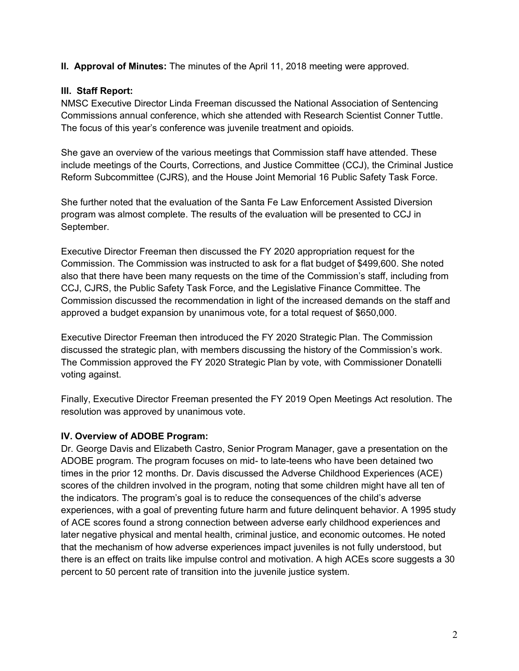**II. Approval of Minutes:** The minutes of the April 11, 2018 meeting were approved.

## **III. Staff Report:**

NMSC Executive Director Linda Freeman discussed the National Association of Sentencing Commissions annual conference, which she attended with Research Scientist Conner Tuttle. The focus of this year's conference was juvenile treatment and opioids.

She gave an overview of the various meetings that Commission staff have attended. These include meetings of the Courts, Corrections, and Justice Committee (CCJ), the Criminal Justice Reform Subcommittee (CJRS), and the House Joint Memorial 16 Public Safety Task Force.

She further noted that the evaluation of the Santa Fe Law Enforcement Assisted Diversion program was almost complete. The results of the evaluation will be presented to CCJ in September.

Executive Director Freeman then discussed the FY 2020 appropriation request for the Commission. The Commission was instructed to ask for a flat budget of \$499,600. She noted also that there have been many requests on the time of the Commission's staff, including from CCJ, CJRS, the Public Safety Task Force, and the Legislative Finance Committee. The Commission discussed the recommendation in light of the increased demands on the staff and approved a budget expansion by unanimous vote, for a total request of \$650,000.

Executive Director Freeman then introduced the FY 2020 Strategic Plan. The Commission discussed the strategic plan, with members discussing the history of the Commission's work. The Commission approved the FY 2020 Strategic Plan by vote, with Commissioner Donatelli voting against.

Finally, Executive Director Freeman presented the FY 2019 Open Meetings Act resolution. The resolution was approved by unanimous vote.

# **IV. Overview of ADOBE Program:**

Dr. George Davis and Elizabeth Castro, Senior Program Manager, gave a presentation on the ADOBE program. The program focuses on mid- to late-teens who have been detained two times in the prior 12 months. Dr. Davis discussed the Adverse Childhood Experiences (ACE) scores of the children involved in the program, noting that some children might have all ten of the indicators. The program's goal is to reduce the consequences of the child's adverse experiences, with a goal of preventing future harm and future delinquent behavior. A 1995 study of ACE scores found a strong connection between adverse early childhood experiences and later negative physical and mental health, criminal justice, and economic outcomes. He noted that the mechanism of how adverse experiences impact juveniles is not fully understood, but there is an effect on traits like impulse control and motivation. A high ACEs score suggests a 30 percent to 50 percent rate of transition into the juvenile justice system.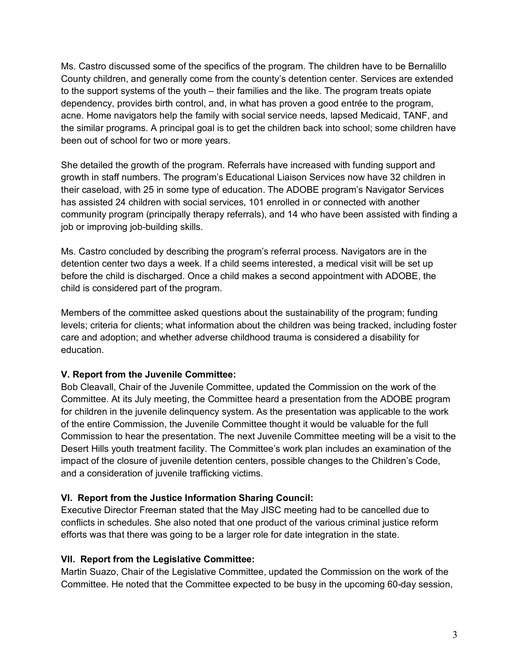Ms. Castro discussed some of the specifics of the program. The children have to be Bernalillo County children, and generally come from the county's detention center. Services are extended to the support systems of the youth – their families and the like. The program treats opiate dependency, provides birth control, and, in what has proven a good entrée to the program, acne. Home navigators help the family with social service needs, lapsed Medicaid, TANF, and the similar programs. A principal goal is to get the children back into school; some children have been out of school for two or more years.

She detailed the growth of the program. Referrals have increased with funding support and growth in staff numbers. The program's Educational Liaison Services now have 32 children in their caseload, with 25 in some type of education. The ADOBE program's Navigator Services has assisted 24 children with social services, 101 enrolled in or connected with another community program (principally therapy referrals), and 14 who have been assisted with finding a job or improving job-building skills.

Ms. Castro concluded by describing the program's referral process. Navigators are in the detention center two days a week. If a child seems interested, a medical visit will be set up before the child is discharged. Once a child makes a second appointment with ADOBE, the child is considered part of the program.

Members of the committee asked questions about the sustainability of the program; funding levels; criteria for clients; what information about the children was being tracked, including foster care and adoption; and whether adverse childhood trauma is considered a disability for education.

#### **V. Report from the Juvenile Committee:**

Bob Cleavall, Chair of the Juvenile Committee, updated the Commission on the work of the Committee. At its July meeting, the Committee heard a presentation from the ADOBE program for children in the juvenile delinquency system. As the presentation was applicable to the work of the entire Commission, the Juvenile Committee thought it would be valuable for the full Commission to hear the presentation. The next Juvenile Committee meeting will be a visit to the Desert Hills youth treatment facility. The Committee's work plan includes an examination of the impact of the closure of juvenile detention centers, possible changes to the Children's Code, and a consideration of juvenile trafficking victims.

## **VI. Report from the Justice Information Sharing Council:**

Executive Director Freeman stated that the May JISC meeting had to be cancelled due to conflicts in schedules. She also noted that one product of the various criminal justice reform efforts was that there was going to be a larger role for date integration in the state.

#### **VII. Report from the Legislative Committee:**

Martin Suazo, Chair of the Legislative Committee, updated the Commission on the work of the Committee. He noted that the Committee expected to be busy in the upcoming 60-day session,